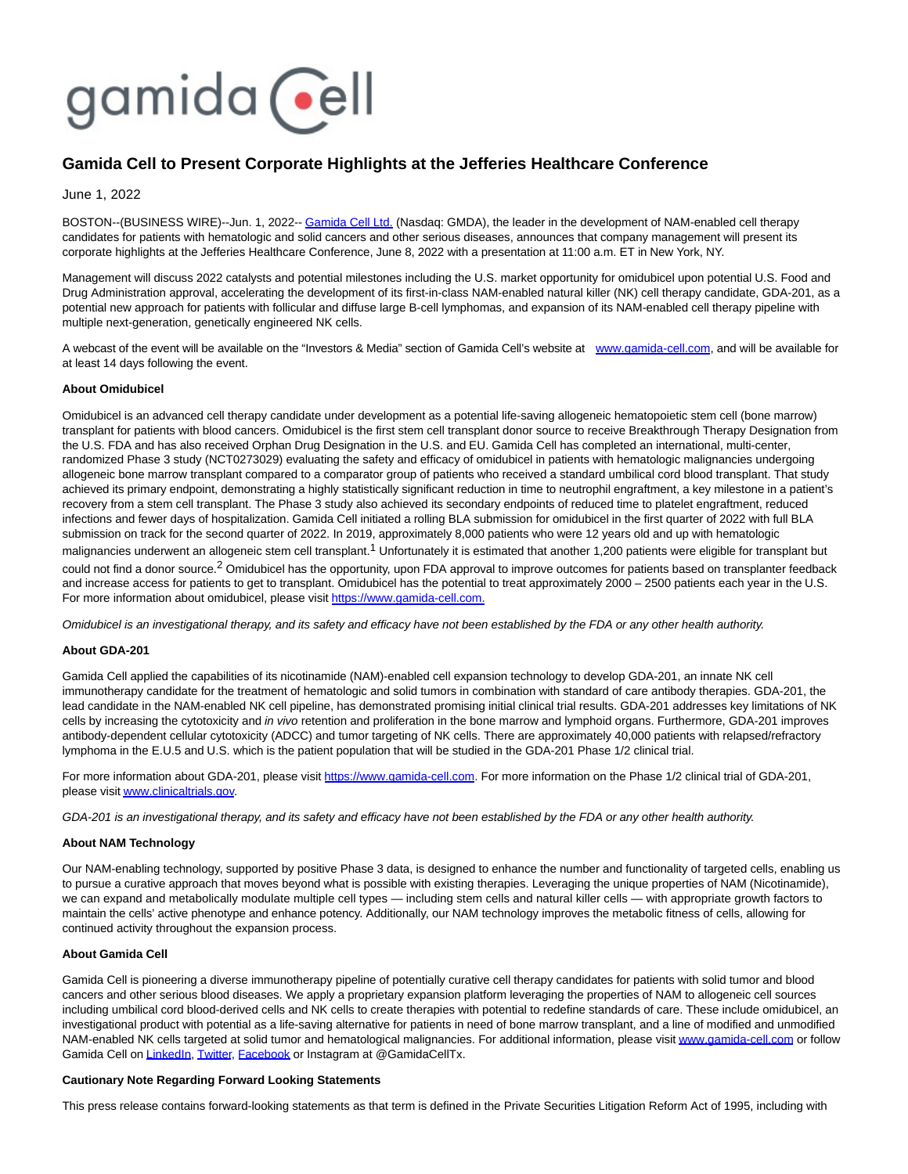# gamida cell

## **Gamida Cell to Present Corporate Highlights at the Jefferies Healthcare Conference**

June 1, 2022

BOSTON--(BUSINESS WIRE)--Jun. 1, 2022-- [Gamida Cell Ltd. \(](https://cts.businesswire.com/ct/CT?id=smartlink&url=http%3A%2F%2Fwww.gamida-cell.com%2F&esheet=52736016&newsitemid=20220601005526&lan=en-US&anchor=Gamida+Cell+Ltd.&index=1&md5=e78c00c530b838f21398d28beb02cf99)Nasdaq: GMDA), the leader in the development of NAM-enabled cell therapy candidates for patients with hematologic and solid cancers and other serious diseases, announces that company management will present its corporate highlights at the Jefferies Healthcare Conference, June 8, 2022 with a presentation at 11:00 a.m. ET in New York, NY.

Management will discuss 2022 catalysts and potential milestones including the U.S. market opportunity for omidubicel upon potential U.S. Food and Drug Administration approval, accelerating the development of its first-in-class NAM-enabled natural killer (NK) cell therapy candidate, GDA-201, as a potential new approach for patients with follicular and diffuse large B-cell lymphomas, and expansion of its NAM-enabled cell therapy pipeline with multiple next-generation, genetically engineered NK cells.

A webcast of the event will be available on the "Investors & Media" section of Gamida Cell's website at [www.gamida-cell.com,](https://cts.businesswire.com/ct/CT?id=smartlink&url=http%3A%2F%2Fwww.gamida-cell.com&esheet=52736016&newsitemid=20220601005526&lan=en-US&anchor=www.gamida-cell.com&index=2&md5=ead5c7cb5ce38383f9ea78a0e95e757a) and will be available for at least 14 days following the event.

### **About Omidubicel**

Omidubicel is an advanced cell therapy candidate under development as a potential life-saving allogeneic hematopoietic stem cell (bone marrow) transplant for patients with blood cancers. Omidubicel is the first stem cell transplant donor source to receive Breakthrough Therapy Designation from the U.S. FDA and has also received Orphan Drug Designation in the U.S. and EU. Gamida Cell has completed an international, multi-center, randomized Phase 3 study (NCT0273029) evaluating the safety and efficacy of omidubicel in patients with hematologic malignancies undergoing allogeneic bone marrow transplant compared to a comparator group of patients who received a standard umbilical cord blood transplant. That study achieved its primary endpoint, demonstrating a highly statistically significant reduction in time to neutrophil engraftment, a key milestone in a patient's recovery from a stem cell transplant. The Phase 3 study also achieved its secondary endpoints of reduced time to platelet engraftment, reduced infections and fewer days of hospitalization. Gamida Cell initiated a rolling BLA submission for omidubicel in the first quarter of 2022 with full BLA submission on track for the second quarter of 2022. In 2019, approximately 8,000 patients who were 12 years old and up with hematologic malignancies underwent an allogeneic stem cell transplant.<sup>1</sup> Unfortunately it is estimated that another 1,200 patients were eligible for transplant but could not find a donor source.<sup>2</sup> Omidubicel has the opportunity, upon FDA approval to improve outcomes for patients based on transplanter feedback and increase access for patients to get to transplant. Omidubicel has the potential to treat approximately 2000 – 2500 patients each year in the U.S. For more information about omidubicel, please visit [https://www.gamida-cell.com.](https://cts.businesswire.com/ct/CT?id=smartlink&url=https%3A%2F%2Fwww.gamida-cell.com%2F&esheet=52736016&newsitemid=20220601005526&lan=en-US&anchor=https%3A%2F%2Fwww.gamida-cell.com.&index=3&md5=2340ab3415fd1c1bc1db19a73ac6bb76)

Omidubicel is an investigational therapy, and its safety and efficacy have not been established by the FDA or any other health authority.

#### **About GDA-201**

Gamida Cell applied the capabilities of its nicotinamide (NAM)-enabled cell expansion technology to develop GDA-201, an innate NK cell immunotherapy candidate for the treatment of hematologic and solid tumors in combination with standard of care antibody therapies. GDA-201, the lead candidate in the NAM-enabled NK cell pipeline, has demonstrated promising initial clinical trial results. GDA-201 addresses key limitations of NK cells by increasing the cytotoxicity and *in vivo* retention and proliferation in the bone marrow and lymphoid organs. Furthermore, GDA-201 improves antibody-dependent cellular cytotoxicity (ADCC) and tumor targeting of NK cells. There are approximately 40,000 patients with relapsed/refractory lymphoma in the E.U.5 and U.S. which is the patient population that will be studied in the GDA-201 Phase 1/2 clinical trial.

For more information about GDA-201, please visit [https://www.gamida-cell.com.](https://cts.businesswire.com/ct/CT?id=smartlink&url=https%3A%2F%2Fwww.gamida-cell.com%2F&esheet=52736016&newsitemid=20220601005526&lan=en-US&anchor=https%3A%2F%2Fwww.gamida-cell.com&index=4&md5=9f89afaeedcb8a690353168b71d8b8fa) For more information on the Phase 1/2 clinical trial of GDA-201, please visi[t www.clinicaltrials.gov.](https://cts.businesswire.com/ct/CT?id=smartlink&url=https%3A%2F%2Fwww.clinicaltrials.gov%2F&esheet=52736016&newsitemid=20220601005526&lan=en-US&anchor=www.clinicaltrials.gov&index=5&md5=708c30166585fd83f2e74c7ddfd1b0a2)

GDA-201 is an investigational therapy, and its safety and efficacy have not been established by the FDA or any other health authority.

#### **About NAM Technology**

Our NAM-enabling technology, supported by positive Phase 3 data, is designed to enhance the number and functionality of targeted cells, enabling us to pursue a curative approach that moves beyond what is possible with existing therapies. Leveraging the unique properties of NAM (Nicotinamide), we can expand and metabolically modulate multiple cell types — including stem cells and natural killer cells — with appropriate growth factors to maintain the cells' active phenotype and enhance potency. Additionally, our NAM technology improves the metabolic fitness of cells, allowing for continued activity throughout the expansion process.

#### **About Gamida Cell**

Gamida Cell is pioneering a diverse immunotherapy pipeline of potentially curative cell therapy candidates for patients with solid tumor and blood cancers and other serious blood diseases. We apply a proprietary expansion platform leveraging the properties of NAM to allogeneic cell sources including umbilical cord blood-derived cells and NK cells to create therapies with potential to redefine standards of care. These include omidubicel, an investigational product with potential as a life-saving alternative for patients in need of bone marrow transplant, and a line of modified and unmodified NAM-enabled NK cells targeted at solid tumor and hematological malignancies. For additional information, please visi[t www.gamida-cell.com o](https://cts.businesswire.com/ct/CT?id=smartlink&url=http%3A%2F%2Fwww.gamida-cell.com%2F&esheet=52736016&newsitemid=20220601005526&lan=en-US&anchor=www.gamida-cell.com&index=6&md5=2414b536e5e24765e6a1c3b5048cd929)r follow Gamida Cell on [LinkedIn,](https://cts.businesswire.com/ct/CT?id=smartlink&url=https%3A%2F%2Fwww.linkedin.com%2Fcompany%2Fgamida-cell-ltd-%2F&esheet=52736016&newsitemid=20220601005526&lan=en-US&anchor=LinkedIn&index=7&md5=fd9578d754e9c4a0ab2a712ac6d9398d) [Twitter,](https://cts.businesswire.com/ct/CT?id=smartlink&url=https%3A%2F%2Ftwitter.com%2FGamidaCellTx&esheet=52736016&newsitemid=20220601005526&lan=en-US&anchor=Twitter&index=8&md5=e69cc308819de8c87f7b97fc67906758) [Facebook o](https://cts.businesswire.com/ct/CT?id=smartlink&url=https%3A%2F%2Fwww.facebook.com%2FGamidaCellLtd&esheet=52736016&newsitemid=20220601005526&lan=en-US&anchor=Facebook&index=9&md5=c17dce1c4bc25cfcb413d1cb393ed9cf)r Instagram at @GamidaCellTx.

#### **Cautionary Note Regarding Forward Looking Statements**

This press release contains forward-looking statements as that term is defined in the Private Securities Litigation Reform Act of 1995, including with